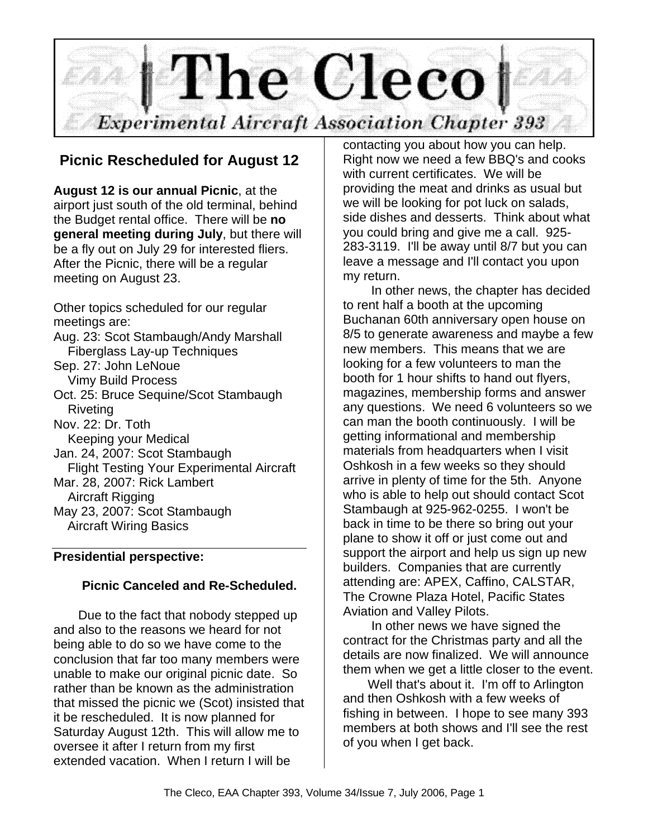

## **Picnic Rescheduled for August 12**

**August 12 is our annual Picnic**, at the airport just south of the old terminal, behind the Budget rental office. There will be **no general meeting during July**, but there will be a fly out on July 29 for interested fliers. After the Picnic, there will be a regular meeting on August 23.

Other topics scheduled for our regular meetings are: Aug. 23: Scot Stambaugh/Andy Marshall Fiberglass Lay-up Techniques Sep. 27: John LeNoue Vimy Build Process Oct. 25: Bruce Sequine/Scot Stambaugh Riveting Nov. 22: Dr. Toth Keeping your Medical Jan. 24, 2007: Scot Stambaugh Flight Testing Your Experimental Aircraft Mar. 28, 2007: Rick Lambert Aircraft Rigging May 23, 2007: Scot Stambaugh Aircraft Wiring Basics

## **Presidential perspective:**

### **Picnic Canceled and Re-Scheduled.**

 Due to the fact that nobody stepped up and also to the reasons we heard for not being able to do so we have come to the conclusion that far too many members were unable to make our original picnic date. So rather than be known as the administration that missed the picnic we (Scot) insisted that it be rescheduled. It is now planned for Saturday August 12th. This will allow me to oversee it after I return from my first extended vacation. When I return I will be

contacting you about how you can help. Right now we need a few BBQ's and cooks with current certificates. We will be providing the meat and drinks as usual but we will be looking for pot luck on salads, side dishes and desserts. Think about what you could bring and give me a call. 925- 283-3119. I'll be away until 8/7 but you can leave a message and I'll contact you upon my return.

 In other news, the chapter has decided to rent half a booth at the upcoming Buchanan 60th anniversary open house on 8/5 to generate awareness and maybe a few new members. This means that we are looking for a few volunteers to man the booth for 1 hour shifts to hand out flyers, magazines, membership forms and answer any questions. We need 6 volunteers so we can man the booth continuously. I will be getting informational and membership materials from headquarters when I visit Oshkosh in a few weeks so they should arrive in plenty of time for the 5th. Anyone who is able to help out should contact Scot Stambaugh at 925-962-0255. I won't be back in time to be there so bring out your plane to show it off or just come out and support the airport and help us sign up new builders. Companies that are currently attending are: APEX, Caffino, CALSTAR, The Crowne Plaza Hotel, Pacific States Aviation and Valley Pilots.

 In other news we have signed the contract for the Christmas party and all the details are now finalized. We will announce them when we get a little closer to the event.

 Well that's about it. I'm off to Arlington and then Oshkosh with a few weeks of fishing in between. I hope to see many 393 members at both shows and I'll see the rest of you when I get back.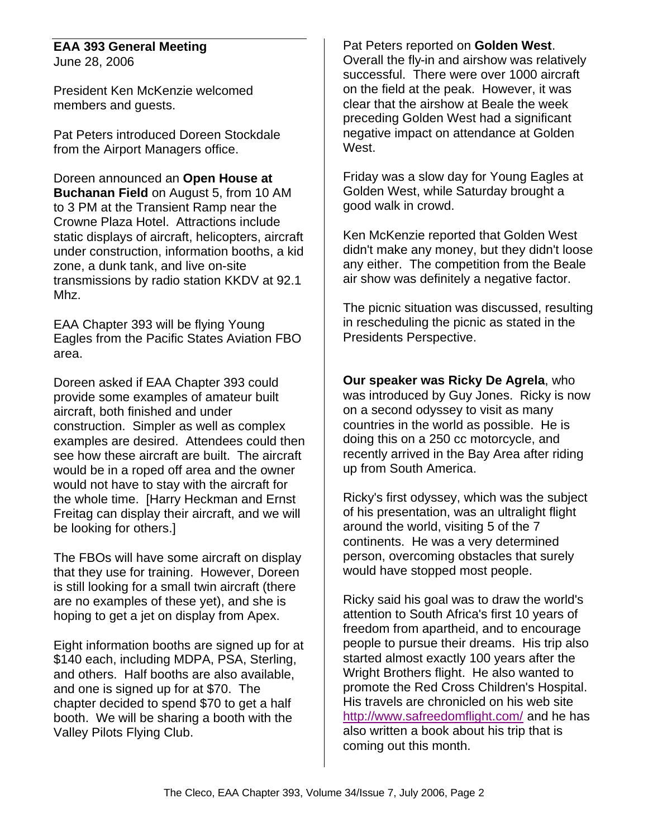#### **EAA 393 General Meeting** June 28, 2006

President Ken McKenzie welcomed members and guests.

Pat Peters introduced Doreen Stockdale from the Airport Managers office.

Doreen announced an **Open House at Buchanan Field** on August 5, from 10 AM to 3 PM at the Transient Ramp near the Crowne Plaza Hotel. Attractions include static displays of aircraft, helicopters, aircraft under construction, information booths, a kid zone, a dunk tank, and live on-site transmissions by radio station KKDV at 92.1 Mhz.

EAA Chapter 393 will be flying Young Eagles from the Pacific States Aviation FBO area.

Doreen asked if EAA Chapter 393 could provide some examples of amateur built aircraft, both finished and under construction. Simpler as well as complex examples are desired. Attendees could then see how these aircraft are built. The aircraft would be in a roped off area and the owner would not have to stay with the aircraft for the whole time. [Harry Heckman and Ernst Freitag can display their aircraft, and we will be looking for others.]

The FBOs will have some aircraft on display that they use for training. However, Doreen is still looking for a small twin aircraft (there are no examples of these yet), and she is hoping to get a jet on display from Apex.

Eight information booths are signed up for at \$140 each, including MDPA, PSA, Sterling, and others. Half booths are also available, and one is signed up for at \$70. The chapter decided to spend \$70 to get a half booth. We will be sharing a booth with the Valley Pilots Flying Club.

Pat Peters reported on **Golden West**. Overall the fly-in and airshow was relatively successful. There were over 1000 aircraft on the field at the peak. However, it was clear that the airshow at Beale the week preceding Golden West had a significant negative impact on attendance at Golden West.

Friday was a slow day for Young Eagles at Golden West, while Saturday brought a good walk in crowd.

Ken McKenzie reported that Golden West didn't make any money, but they didn't loose any either. The competition from the Beale air show was definitely a negative factor.

The picnic situation was discussed, resulting in rescheduling the picnic as stated in the Presidents Perspective.

**Our speaker was Ricky De Agrela**, who was introduced by Guy Jones. Ricky is now on a second odyssey to visit as many countries in the world as possible. He is doing this on a 250 cc motorcycle, and recently arrived in the Bay Area after riding up from South America.

Ricky's first odyssey, which was the subject of his presentation, was an ultralight flight around the world, visiting 5 of the 7 continents. He was a very determined person, overcoming obstacles that surely would have stopped most people.

Ricky said his goal was to draw the world's attention to South Africa's first 10 years of freedom from apartheid, and to encourage people to pursue their dreams. His trip also started almost exactly 100 years after the Wright Brothers flight. He also wanted to promote the Red Cross Children's Hospital. His travels are chronicled on his web site http://www.safreedomflight.com/ and he has also written a book about his trip that is coming out this month.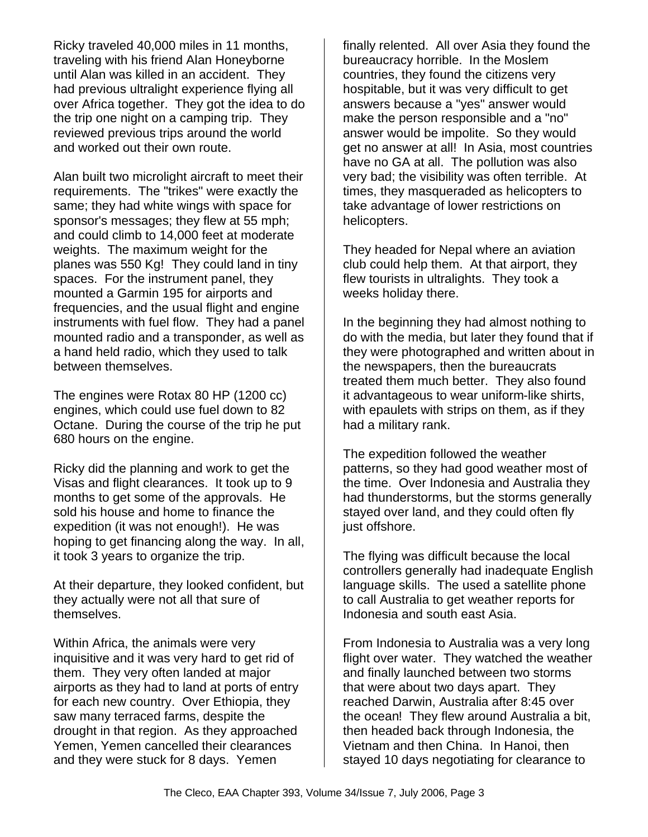Ricky traveled 40,000 miles in 11 months, traveling with his friend Alan Honeyborne until Alan was killed in an accident. They had previous ultralight experience flying all over Africa together. They got the idea to do the trip one night on a camping trip. They reviewed previous trips around the world and worked out their own route.

Alan built two microlight aircraft to meet their requirements. The "trikes" were exactly the same; they had white wings with space for sponsor's messages; they flew at 55 mph; and could climb to 14,000 feet at moderate weights. The maximum weight for the planes was 550 Kg! They could land in tiny spaces. For the instrument panel, they mounted a Garmin 195 for airports and frequencies, and the usual flight and engine instruments with fuel flow. They had a panel mounted radio and a transponder, as well as a hand held radio, which they used to talk between themselves.

The engines were Rotax 80 HP (1200 cc) engines, which could use fuel down to 82 Octane. During the course of the trip he put 680 hours on the engine.

Ricky did the planning and work to get the Visas and flight clearances. It took up to 9 months to get some of the approvals. He sold his house and home to finance the expedition (it was not enough!). He was hoping to get financing along the way. In all, it took 3 years to organize the trip.

At their departure, they looked confident, but they actually were not all that sure of themselves.

Within Africa, the animals were very inquisitive and it was very hard to get rid of them. They very often landed at major airports as they had to land at ports of entry for each new country. Over Ethiopia, they saw many terraced farms, despite the drought in that region. As they approached Yemen, Yemen cancelled their clearances and they were stuck for 8 days. Yemen

finally relented. All over Asia they found the bureaucracy horrible. In the Moslem countries, they found the citizens very hospitable, but it was very difficult to get answers because a "yes" answer would make the person responsible and a "no" answer would be impolite. So they would get no answer at all! In Asia, most countries have no GA at all. The pollution was also very bad; the visibility was often terrible. At times, they masqueraded as helicopters to take advantage of lower restrictions on helicopters.

They headed for Nepal where an aviation club could help them. At that airport, they flew tourists in ultralights. They took a weeks holiday there.

In the beginning they had almost nothing to do with the media, but later they found that if they were photographed and written about in the newspapers, then the bureaucrats treated them much better. They also found it advantageous to wear uniform-like shirts, with epaulets with strips on them, as if they had a military rank.

The expedition followed the weather patterns, so they had good weather most of the time. Over Indonesia and Australia they had thunderstorms, but the storms generally stayed over land, and they could often fly just offshore.

The flying was difficult because the local controllers generally had inadequate English language skills. The used a satellite phone to call Australia to get weather reports for Indonesia and south east Asia.

From Indonesia to Australia was a very long flight over water. They watched the weather and finally launched between two storms that were about two days apart. They reached Darwin, Australia after 8:45 over the ocean! They flew around Australia a bit, then headed back through Indonesia, the Vietnam and then China. In Hanoi, then stayed 10 days negotiating for clearance to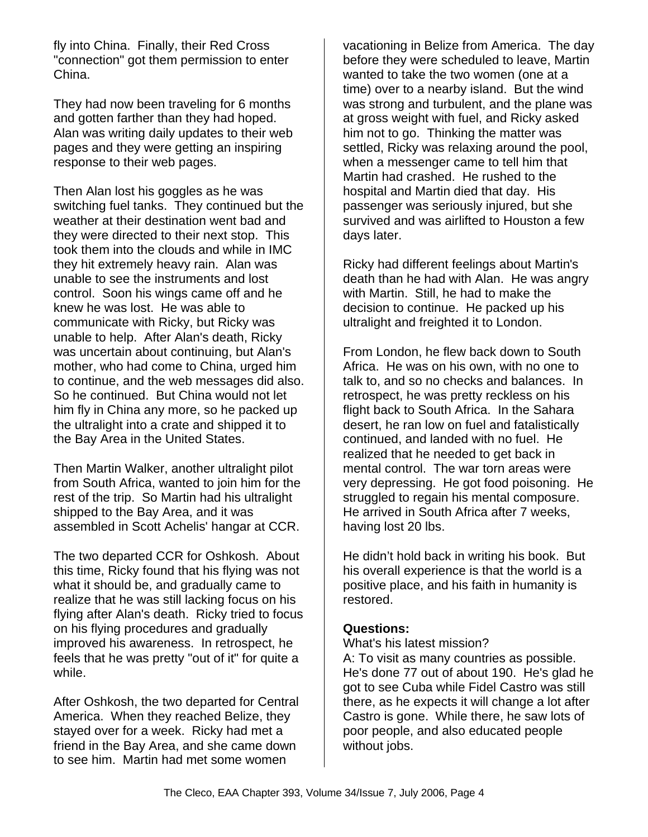fly into China. Finally, their Red Cross "connection" got them permission to enter China.

They had now been traveling for 6 months and gotten farther than they had hoped. Alan was writing daily updates to their web pages and they were getting an inspiring response to their web pages.

Then Alan lost his goggles as he was switching fuel tanks. They continued but the weather at their destination went bad and they were directed to their next stop. This took them into the clouds and while in IMC they hit extremely heavy rain. Alan was unable to see the instruments and lost control. Soon his wings came off and he knew he was lost. He was able to communicate with Ricky, but Ricky was unable to help. After Alan's death, Ricky was uncertain about continuing, but Alan's mother, who had come to China, urged him to continue, and the web messages did also. So he continued. But China would not let him fly in China any more, so he packed up the ultralight into a crate and shipped it to the Bay Area in the United States.

Then Martin Walker, another ultralight pilot from South Africa, wanted to join him for the rest of the trip. So Martin had his ultralight shipped to the Bay Area, and it was assembled in Scott Achelis' hangar at CCR.

The two departed CCR for Oshkosh. About this time, Ricky found that his flying was not what it should be, and gradually came to realize that he was still lacking focus on his flying after Alan's death. Ricky tried to focus on his flying procedures and gradually improved his awareness. In retrospect, he feels that he was pretty "out of it" for quite a while.

After Oshkosh, the two departed for Central America. When they reached Belize, they stayed over for a week. Ricky had met a friend in the Bay Area, and she came down to see him. Martin had met some women

vacationing in Belize from America. The day before they were scheduled to leave, Martin wanted to take the two women (one at a time) over to a nearby island. But the wind was strong and turbulent, and the plane was at gross weight with fuel, and Ricky asked him not to go. Thinking the matter was settled, Ricky was relaxing around the pool, when a messenger came to tell him that Martin had crashed. He rushed to the hospital and Martin died that day. His passenger was seriously injured, but she survived and was airlifted to Houston a few days later.

Ricky had different feelings about Martin's death than he had with Alan. He was angry with Martin. Still, he had to make the decision to continue. He packed up his ultralight and freighted it to London.

From London, he flew back down to South Africa. He was on his own, with no one to talk to, and so no checks and balances. In retrospect, he was pretty reckless on his flight back to South Africa. In the Sahara desert, he ran low on fuel and fatalistically continued, and landed with no fuel. He realized that he needed to get back in mental control. The war torn areas were very depressing. He got food poisoning. He struggled to regain his mental composure. He arrived in South Africa after 7 weeks, having lost 20 lbs.

He didn't hold back in writing his book. But his overall experience is that the world is a positive place, and his faith in humanity is restored.

### **Questions:**

What's his latest mission?

A: To visit as many countries as possible. He's done 77 out of about 190. He's glad he got to see Cuba while Fidel Castro was still there, as he expects it will change a lot after Castro is gone. While there, he saw lots of poor people, and also educated people without jobs.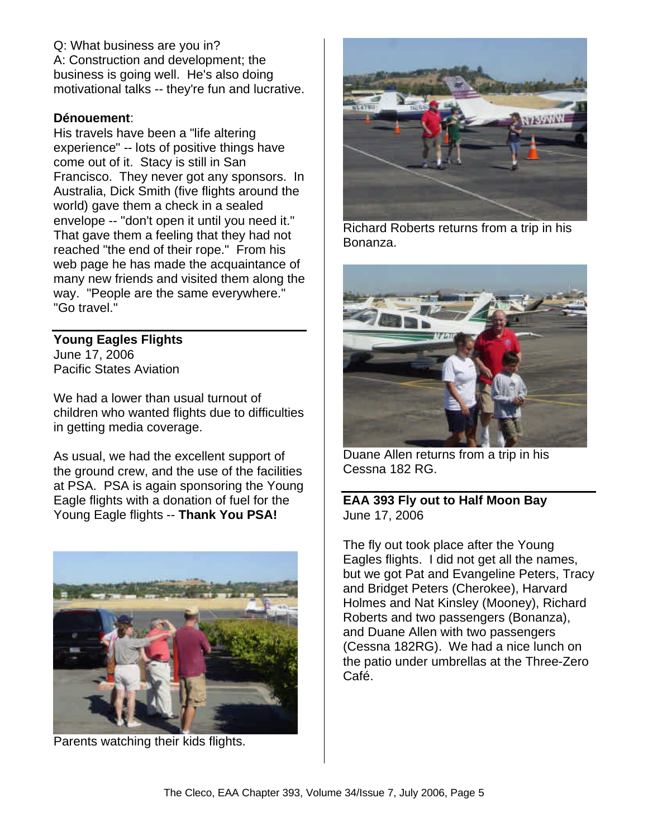Q: What business are you in? A: Construction and development; the business is going well. He's also doing motivational talks -- they're fun and lucrative.

#### **Dénouement**:

His travels have been a "life altering experience" -- lots of positive things have come out of it. Stacy is still in San Francisco. They never got any sponsors. In Australia, Dick Smith (five flights around the world) gave them a check in a sealed envelope -- "don't open it until you need it." That gave them a feeling that they had not reached "the end of their rope." From his web page he has made the acquaintance of many new friends and visited them along the way. "People are the same everywhere." "Go travel."

# **Young Eagles Flights**

June 17, 2006 Pacific States Aviation

We had a lower than usual turnout of children who wanted flights due to difficulties in getting media coverage.

As usual, we had the excellent support of the ground crew, and the use of the facilities at PSA. PSA is again sponsoring the Young Eagle flights with a donation of fuel for the Young Eagle flights -- **Thank You PSA!**



Parents watching their kids flights.



Richard Roberts returns from a trip in his Bonanza.



Duane Allen returns from a trip in his Cessna 182 RG.

### **EAA 393 Fly out to Half Moon Bay** June 17, 2006

The fly out took place after the Young Eagles flights. I did not get all the names, but we got Pat and Evangeline Peters, Tracy and Bridget Peters (Cherokee), Harvard Holmes and Nat Kinsley (Mooney), Richard Roberts and two passengers (Bonanza), and Duane Allen with two passengers (Cessna 182RG). We had a nice lunch on the patio under umbrellas at the Three-Zero Café.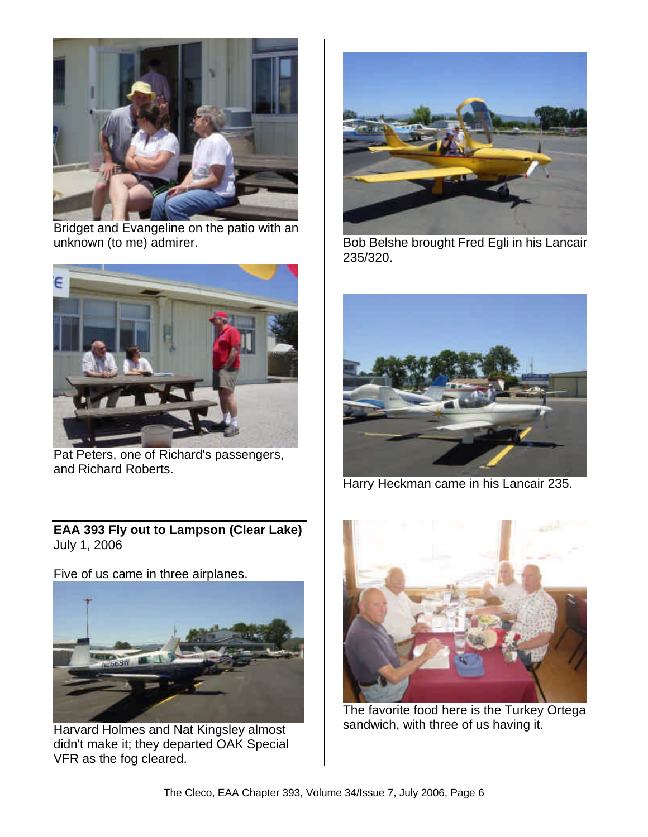

Bridget and Evangeline on the patio with an unknown (to me) admirer.



Pat Peters, one of Richard's passengers, and Richard Roberts.

**EAA 393 Fly out to Lampson (Clear Lake)** July 1, 2006

Five of us came in three airplanes.



Harvard Holmes and Nat Kingsley almost didn't make it; they departed OAK Special VFR as the fog cleared.



Bob Belshe brought Fred Egli in his Lancair 235/320.



Harry Heckman came in his Lancair 235.



The favorite food here is the Turkey Ortega sandwich, with three of us having it.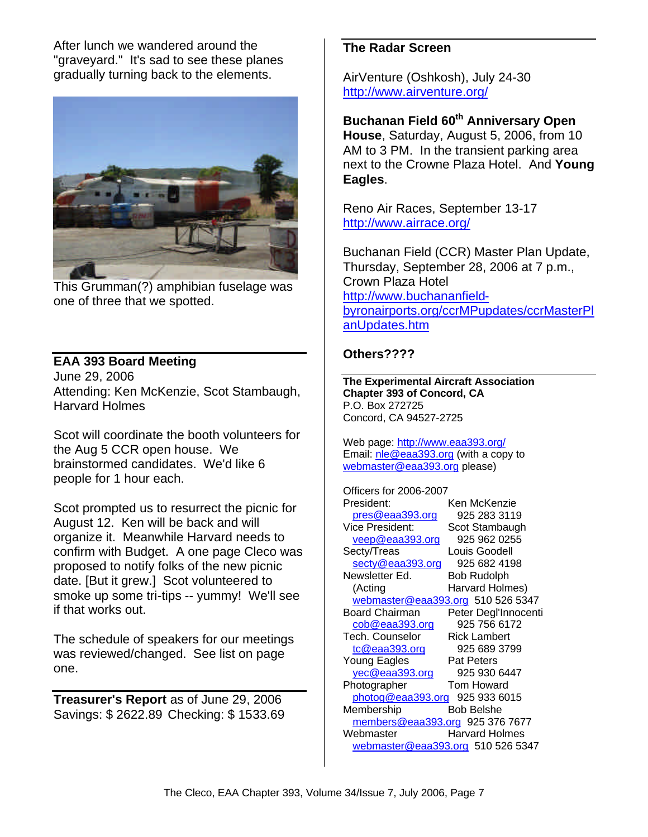After lunch we wandered around the "graveyard." It's sad to see these planes gradually turning back to the elements.



This Grumman(?) amphibian fuselage was one of three that we spotted.

**EAA 393 Board Meeting** June 29, 2006 Attending: Ken McKenzie, Scot Stambaugh, Harvard Holmes

Scot will coordinate the booth volunteers for the Aug 5 CCR open house. We brainstormed candidates. We'd like 6 people for 1 hour each.

Scot prompted us to resurrect the picnic for August 12. Ken will be back and will organize it. Meanwhile Harvard needs to confirm with Budget. A one page Cleco was proposed to notify folks of the new picnic date. [But it grew.] Scot volunteered to smoke up some tri-tips -- yummy! We'll see if that works out.

The schedule of speakers for our meetings was reviewed/changed. See list on page one.

**Treasurer's Report** as of June 29, 2006 Savings: \$ 2622.89 Checking: \$ 1533.69

## **The Radar Screen**

AirVenture (Oshkosh), July 24-30 http://www.airventure.org/

**Buchanan Field 60th Anniversary Open House**, Saturday, August 5, 2006, from 10 AM to 3 PM. In the transient parking area next to the Crowne Plaza Hotel. And **Young Eagles**.

Reno Air Races, September 13-17 http://www.airrace.org/

Buchanan Field (CCR) Master Plan Update, Thursday, September 28, 2006 at 7 p.m., Crown Plaza Hotel http://www.buchananfieldbyronairports.org/ccrMPupdates/ccrMasterPl anUpdates.htm

### **Others????**

**The Experimental Aircraft Association Chapter 393 of Concord, CA** P.O. Box 272725 Concord, CA 94527-2725

Web page: http://www.eaa393.org/ Email: nle@eaa393.org (with a copy to webmaster@eaa393.org please)

Officers for 2006-2007 President: Ken McKenzie pres@eaa393.org 925 283 3119 Vice President: Scot Stambaugh veep@eaa393.org 925 962 0255 Secty/Treas Louis Goodell secty@eaa393.org 925 682 4198 Newsletter Ed. Bob Rudolph (Acting Harvard Holmes) webmaster@eaa393.org 510 526 5347 Board Chairman Peter Degl'Innocenti cob@eaa393.org 925 756 6172 Tech. Counselor Rick Lambert tc@eaa393.org 925 689 3799 Young Eagles Pat Peters yec@eaa393.org 925 930 6447 Photographer **Tom Howard** photog@eaa393.org 925 933 6015 Membership Bob Belshe members@eaa393.org 925 376 7677 Webmaster Harvard Holmes webmaster@eaa393.org 510 526 5347